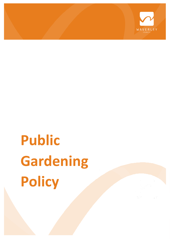

# **Public Gardening Policy**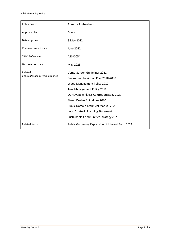| Policy owner                              | Annette Trubenbach                                                                                                                                                                                                                                                                           |
|-------------------------------------------|----------------------------------------------------------------------------------------------------------------------------------------------------------------------------------------------------------------------------------------------------------------------------------------------|
| Approved by                               | Council                                                                                                                                                                                                                                                                                      |
| Date approved                             | 3 May 2022                                                                                                                                                                                                                                                                                   |
| Commencement date                         | <b>June 2022</b>                                                                                                                                                                                                                                                                             |
| <b>TRIM Reference</b>                     | A13/0054                                                                                                                                                                                                                                                                                     |
| Next revision date                        | May 2025                                                                                                                                                                                                                                                                                     |
| Related<br>policies/procedures/guidelines | Verge Garden Guidelines 2021<br>Environmental Action Plan 2018-2030<br>Weed Management Policy 2012<br>Tree Management Policy 2019<br>Our Liveable Places Centres Strategy 2020<br>Street Design Guidelines 2020<br>Public Domain Technical Manual 2020<br>Local Strategic Planning Statement |
|                                           | Sustainable Communities Strategy 2021                                                                                                                                                                                                                                                        |
| <b>Related forms</b>                      | Public Gardening Expression of Interest Form 2021                                                                                                                                                                                                                                            |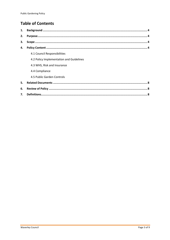# **Table of Contents**

| 1. |                                          |
|----|------------------------------------------|
| 2. |                                          |
| 3. |                                          |
| 4. |                                          |
|    | 4.1 Council Responsibilities             |
|    | 4.2 Policy Implementation and Guidelines |
|    | 4.3 WHS, Risk and Insurance              |
|    | 4.4 Compliance                           |
|    | 4.5 Public Garden Controls               |
| 5. |                                          |
| 6. |                                          |
| 7. |                                          |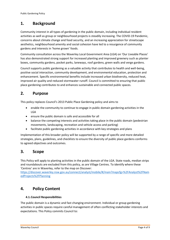## <span id="page-3-0"></span>**1. Background**

<span id="page-3-1"></span>Community interest in all types of gardening in the public domain, including individual resident activities as well as group or neighbourhood projects is steadily increasing. The COVID-19 Pandemic, concerns about climate change and food security, and an increasing appreciation for streetscape aesthetics, neighbourhood amenity and social cohesion have led to a resurgence of community gardens and interests in 'home grown' foods.

Community consultation across the Waverley Local Government Area (LGA) on 'Our Liveable Places' has also demonstrated strong support for increased planting and improved greenery such as planter boxes, community gardens, pocket parks, laneways, roof gardens, green walls and verge gardens.

Council supports public gardening as a valuable activity that contributes to health and well-being, positive social interaction, community development, and environmental education, protection and enhancement. Specific environmental benefits include increased urban biodiversity, reduced heat, improved air quality and reduced stormwater runoff. Council is committed to ensuring that public place gardening contributes to and enhances sustainable and connected public spaces.

## **2. Purpose**

This policy replaces Council's 2013 Public Place Gardening policy and aims to

- enable the community to continue to engage in public domain gardening activities in the LGA
- ensure the public domain is safe and accessible for all
- balance the competing interests and activities taking place in the public domain (pedestrian movements, landscaping, recreation and vehicle access and parking)
- facilitate public gardening activities in accordance with key strategies and plans

Implementation of this broader policy will be supported by a range of specific and more detailed strategies, plans, guidelines, and checklists to ensure the diversity of public place gardens conforms to agreed objectives and outcomes.

### <span id="page-3-2"></span>**3. Scope**

This Policy will apply to planting activities in the public domain of the LGA. State roads, median strips and roundabouts are excluded from this policy, as are Village Centres. To identify where these 'Centres' are in Waverley, refer to the map on Discover:

[https://discover.waverley.nsw.gov.au/connect/analyst/mobile/#/main?mapcfg=%2FAnalyst%2FNam](https://discover.waverley.nsw.gov.au/connect/analyst/mobile/#/main?mapcfg=%2FAnalyst%2FNamedProjects%2FPlanning) [edProjects%2FPlanning](https://discover.waverley.nsw.gov.au/connect/analyst/mobile/#/main?mapcfg=%2FAnalyst%2FNamedProjects%2FPlanning)

## <span id="page-3-3"></span>**4. Policy Content**

#### **4.1.Council Responsibilities**

The public domain is a dynamic and fast changing environment. Individual or group gardening activities in public spaces require careful management of often conflicting stakeholder interests and expectations. This Policy commits Council to: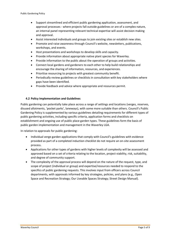- Support streamlined and efficient public gardening application, assessment, and approval processes - where projects fall outside guidelines or are of a complex nature, an internal panel representing relevant technical expertise will assist decision making and approval.
- Assist interested individuals and groups to join existing sites or establish new sites.
- Promote and raise awareness through Council's website, newsletters, publications, workshops, and events.
- Host presentations and workshops to develop skills and capacity.
- Provide information about appropriate native plant species for Waverley.
- Provide information to the public about the operation of groups and activities.
- Connect local gardens and gardeners to each other to help build relationships and encourage the sharing of information, resources, and experiences.
- Prioritise resourcing to projects with greatest community benefit.
- Periodically review guidelines or checklists in consultation with key stakeholders where gaps have been identified.
- Provide feedback and advice where appropriate and resources permit.

#### **4.2 Policy Implementation and Guidelines**

Public gardening can potentially take place across a range of settings and locations (verges, reserves, disused allotments, 'pocket parks', laneways), with some more suitable than others. Council's Public Gardening Policy is supplemented by various guidelines detailing requirements for different types of public gardening activities, including specific criteria, application forms and checklists on establishment and ongoing use of public place garden types. These guidelines form the basis of public garden implementation and management in the Waverley LGA.

In relation to approvals for public gardening:

- Individual verge garden applications that comply with Council's guidelines with evidence provided as part of a completed induction checklist do not require an on-site assessment process.
- Applications for other types of gardens with higher levels of complexity will be assessed and approved based on a set of criteria relating to the location, project viability, risk, suitability, and degree of community support.
- The complexity of the approval process will depend on the nature of the request, type, and scope of project (individual or group) and expertise/resources needed to respond to the specifics of public gardening requests. This involves input from officers across Council departments, with approvals informed by key strategies, policies, and plans (e.g., Open Space and Recreation Strategy; Our Liveable Spaces Strategy; Street Design Manual).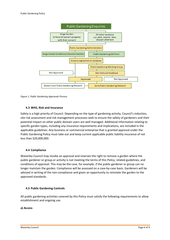

*Figure 1. Public Gardening Approvals Process*

#### **4.3 WHS, Risk and Insurance**

Safety is a high priority of Council. Depending on the type of gardening activity, Council's induction, site risk assessment and risk management processes seek to ensure the safety of gardeners and their potential impact on other public domain users are well managed. Additional information relating to specific garden types, including any insurance requirements and implications, are included in the applicable guidelines. Any business or commercial enterprise that is granted approval under the Public Gardening Policy must take out and keep current applicable public liability insurance of not less than \$20,000,000.

#### **4.4 Compliance**

Waverley Council may revoke an approval and reserves the right to remove a garden where the public gardener or group or activity is not meeting the terms of this Policy, related guidelines, and conditions of approval. This may be the case, for example, if the public gardener or group can no longer maintain the garden. Compliance will be assessed on a case-by-case basis. Gardeners will be advised in writing of the non-compliance and given an opportunity to reinstate the garden to the approved standards.

#### **4.5 Public Gardening Controls**

All public gardening activities covered by this Policy must satisfy the following requirements to allow establishment and ongoing use.

#### **a) Access**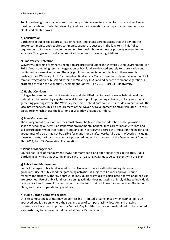Public gardening sites must ensure community safety. Access to existing footpaths and walkways must be maintained. Refer to relevant guidelines for information about specific requirements for plants and planter boxes.

#### **b) Consultation**

Gardening in public spaces preserves, enhances, and creates green spaces that will benefit the greater community and requires community support to succeed in the long term. This Policy requires consultation with and endorsement from neighbours or nearby property owners for new activities. The type of consultation required is outlined in relevant guidelines.

#### **c) Biodiversity Protection**

Waverley's pockets of remnant vegetation are protected under the Waverley Land Environment Plan 2012. Areas containing remnant vegetation or bushland are devoted entirely to conservation and habitat enhancement activities. The only public gardening type permissible in these areas is Bushcare. See Waverley LEP 2012 Terrestrial Biodiversity Maps. These maps show the location of all remnant vegetation or bushland within the Waverley LGA Land adjacent to remnant vegetation is protected through the Waverley Development Control Plan 2012 - Part B3 - Biodiversity.

#### **d) Habitat Corridors**

Linkages between our remnant vegetation, and identified habitat are known as habitat corridors. Habitat can be created by vegetation in all types of public gardening activities, but any new public gardening plantings within the Waverley identified habitat corridors must include a minimum of 50% local native species. This is a requirement of the Waverley Development Control Plan 2012 - Part B3 - Biodiversity which shows the locations of Waverley's habitat corridors.

#### **e) Tree Management**

The management of our urban trees must always be taken into consideration as the provision of shade for cooling our city is an important environmental benefit. Trees are vulnerable to root and soil disturbance. When tree roots are cut, and soil hydrology is altered the impact on the health and appearance of a tree may not be visible for many months afterwards. All trees in Waverley including those in streets, parks and reserves are protected under the provisions of the Development Control Plan 2012, Part B5 - Vegetation Preservation.

#### **f) Plans of Management**

Council has Plans of Management (POM) for many parks and open space areas in the area. Public Gardening activities that occur in an area with an existing POM must be consistent with this Plan.

#### **g) Public Land Management**

Council manages public land located in the LGA in accordance with relevant legislation and guidelines. Use of public land for 'gardening activities' is subject to Council approval. Council reserves the right to withdraw approval to individuals or groups to participate if terms of agreed use are breached. Use of public land for gardening activities does not assign or imply rights to individuals or organisations for use of the land other than the terms set out in user agreements or Site Action Plans, and specific operational guidelines.

#### **h) Public Garden Compost Facilities**

On-site composting facilities may be permissible in limited circumstances when connected to an approved public garden, where the size, and type of compost facility, location and ongoing maintenance have been approved by Council. Any facilities that are not maintained to the required standards may be removed or relocated at Council's discretion.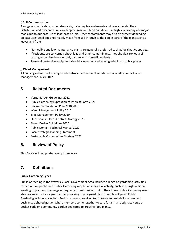#### **i) Soil Contamination**

A range of chemicals occur in urban soils, including trace elements and heavy metals. Their distribution and concentrations are largely unknown. Lead could occur in high levels alongside major roads due to our past use of lead-based fuels. Other contaminants may also be present depending on past uses. Lead does not readily move from soil through to the edible parts of the plant such as leaves and fruits.

- Non-edible and low maintenance plants are generally preferred such as local native species.
- If residents are concerned about lead and other contaminants, they should carry out soil testing to confirm levels or only garden with non-edible plants.
- Personal protective equipment should always be used when gardening in public places.

#### **j) Weed Management**

All public gardens must manage and control environmental weeds. See Waverley Council Weed Management Policy 2012.

## <span id="page-7-0"></span>**5. Related Documents**

- Verge Garden Guidelines 2021
- Public Gardening Expression of Interest Form 2021
- Environmental Action Plan 2018-2030
- Weed Management Policy 2012
- Tree Management Policy 2019
- Our Liveable Places Centres Strategy 2020
- Street Design Guidelines 2020
- Public Domain Technical Manual 2020
- Local Strategic Planning Statement
- Sustainable Communities Strategy 2021

## <span id="page-7-1"></span>**6. Review of Policy**

This Policy will be updated every three years.

## <span id="page-7-2"></span>**7. Definitions**

#### **Public Gardening Types**

Public Gardening in the Waverley Local Government Area includes a range of 'gardening' activities carried out on public land. Public Gardening may be an individual activity, such as a single resident wanting to plant out the verge or request a street tree in front of their home. Public Gardening may also be carried out as a group activity working to an agreed plan. Examples of group Public Gardening include Waverley's Bushcare groups, working to conserve and rehabilitate remnant bushland, a shared garden where members come together to care for a small designate verge or pocket park, or a community garden dedicated to growing food plants.